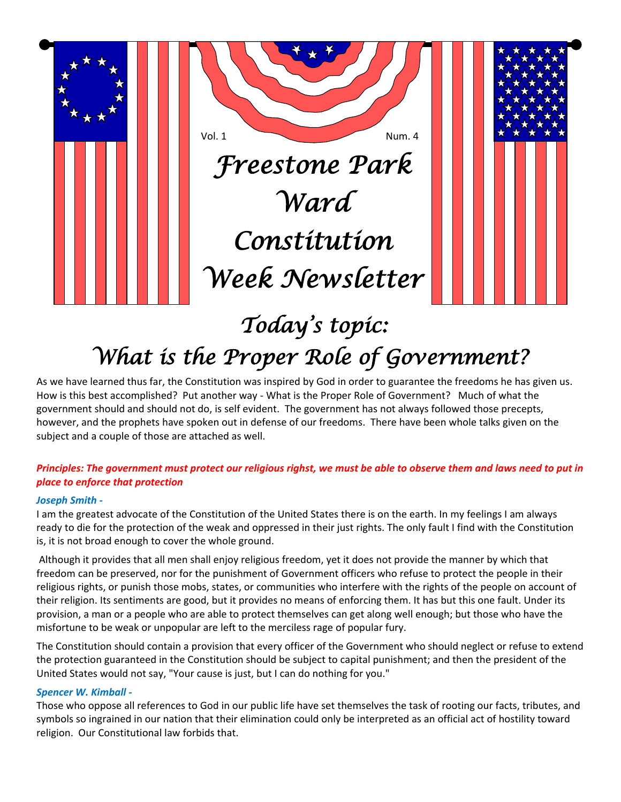

# *What is the Proper Role of Government?*

As we have learned thus far, the Constitution was inspired by God in order to guarantee the freedoms he has given us. How is this best accomplished? Put another way - What is the Proper Role of Government? Much of what the government should and should not do, is self evident. The government has not always followed those precepts, however, and the prophets have spoken out in defense of our freedoms. There have been whole talks given on the subject and a couple of those are attached as well.

## *Principles: The government must protect our religious righst, we must be able to observe them and laws need to put in place to enforce that protection*

#### *Joseph Smith -*

I am the greatest advocate of the Constitution of the United States there is on the earth. In my feelings I am always ready to die for the protection of the weak and oppressed in their just rights. The only fault I find with the Constitution is, it is not broad enough to cover the whole ground.

Although it provides that all men shall enjoy religious freedom, yet it does not provide the manner by which that freedom can be preserved, nor for the punishment of Government officers who refuse to protect the people in their religious rights, or punish those mobs, states, or communities who interfere with the rights of the people on account of their religion. Its sentiments are good, but it provides no means of enforcing them. It has but this one fault. Under its provision, a man or a people who are able to protect themselves can get along well enough; but those who have the misfortune to be weak or unpopular are left to the merciless rage of popular fury.

The Constitution should contain a provision that every officer of the Government who should neglect or refuse to extend the protection guaranteed in the Constitution should be subject to capital punishment; and then the president of the United States would not say, "Your cause is just, but I can do nothing for you."

#### *Spencer W. Kimball -*

Those who oppose all references to God in our public life have set themselves the task of rooting our facts, tributes, and symbols so ingrained in our nation that their elimination could only be interpreted as an official act of hostility toward religion. Our Constitutional law forbids that.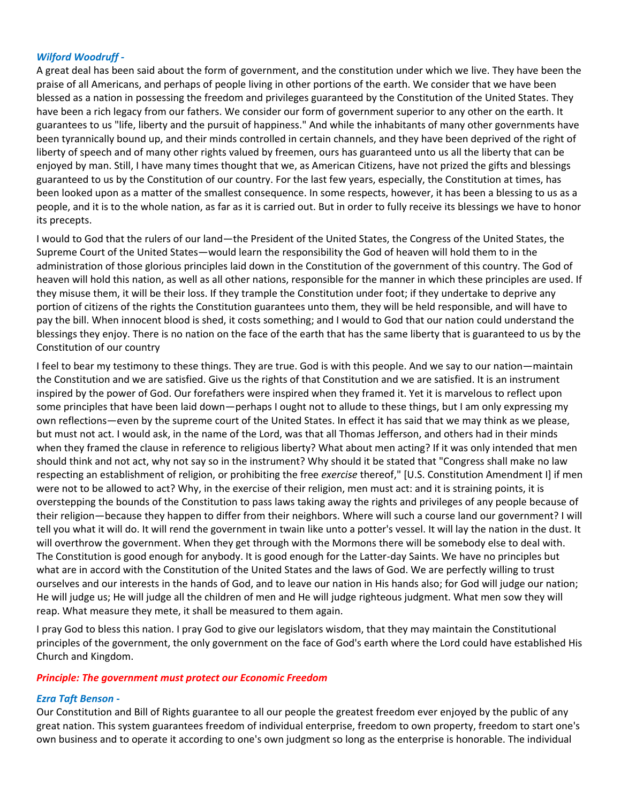#### *Wilford Woodruff -*

A great deal has been said about the form of government, and the constitution under which we live. They have been the praise of all Americans, and perhaps of people living in other portions of the earth. We consider that we have been blessed as a nation in possessing the freedom and privileges guaranteed by the Constitution of the United States. They have been a rich legacy from our fathers. We consider our form of government superior to any other on the earth. It guarantees to us "life, liberty and the pursuit of happiness." And while the inhabitants of many other governments have been tyrannically bound up, and their minds controlled in certain channels, and they have been deprived of the right of liberty of speech and of many other rights valued by freemen, ours has guaranteed unto us all the liberty that can be enjoyed by man. Still, I have many times thought that we, as American Citizens, have not prized the gifts and blessings guaranteed to us by the Constitution of our country. For the last few years, especially, the Constitution at times, has been looked upon as a matter of the smallest consequence. In some respects, however, it has been a blessing to us as a people, and it is to the whole nation, as far as it is carried out. But in order to fully receive its blessings we have to honor its precepts.

I would to God that the rulers of our land—the President of the United States, the Congress of the United States, the Supreme Court of the United States—would learn the responsibility the God of heaven will hold them to in the administration of those glorious principles laid down in the Constitution of the government of this country. The God of heaven will hold this nation, as well as all other nations, responsible for the manner in which these principles are used. If they misuse them, it will be their loss. If they trample the Constitution under foot; if they undertake to deprive any portion of citizens of the rights the Constitution guarantees unto them, they will be held responsible, and will have to pay the bill. When innocent blood is shed, it costs something; and I would to God that our nation could understand the blessings they enjoy. There is no nation on the face of the earth that has the same liberty that is guaranteed to us by the Constitution of our country

I feel to bear my testimony to these things. They are true. God is with this people. And we say to our nation—maintain the Constitution and we are satisfied. Give us the rights of that Constitution and we are satisfied. It is an instrument inspired by the power of God. Our forefathers were inspired when they framed it. Yet it is marvelous to reflect upon some principles that have been laid down—perhaps I ought not to allude to these things, but I am only expressing my own reflections—even by the supreme court of the United States. In effect it has said that we may think as we please, but must not act. I would ask, in the name of the Lord, was that all Thomas Jefferson, and others had in their minds when they framed the clause in reference to religious liberty? What about men acting? If it was only intended that men should think and not act, why not say so in the instrument? Why should it be stated that "Congress shall make no law respecting an establishment of religion, or prohibiting the free *exercise* thereof," [U.S. Constitution Amendment I] if men were not to be allowed to act? Why, in the exercise of their religion, men must act: and it is straining points, it is overstepping the bounds of the Constitution to pass laws taking away the rights and privileges of any people because of their religion—because they happen to differ from their neighbors. Where will such a course land our government? I will tell you what it will do. It will rend the government in twain like unto a potter's vessel. It will lay the nation in the dust. It will overthrow the government. When they get through with the Mormons there will be somebody else to deal with. The Constitution is good enough for anybody. It is good enough for the Latter-day Saints. We have no principles but what are in accord with the Constitution of the United States and the laws of God. We are perfectly willing to trust ourselves and our interests in the hands of God, and to leave our nation in His hands also; for God will judge our nation; He will judge us; He will judge all the children of men and He will judge righteous judgment. What men sow they will reap. What measure they mete, it shall be measured to them again.

I pray God to bless this nation. I pray God to give our legislators wisdom, that they may maintain the Constitutional principles of the government, the only government on the face of God's earth where the Lord could have established His Church and Kingdom.

#### *Principle: The government must protect our Economic Freedom*

#### *Ezra Taft Benson -*

Our Constitution and Bill of Rights guarantee to all our people the greatest freedom ever enjoyed by the public of any great nation. This system guarantees freedom of individual enterprise, freedom to own property, freedom to start one's own business and to operate it according to one's own judgment so long as the enterprise is honorable. The individual